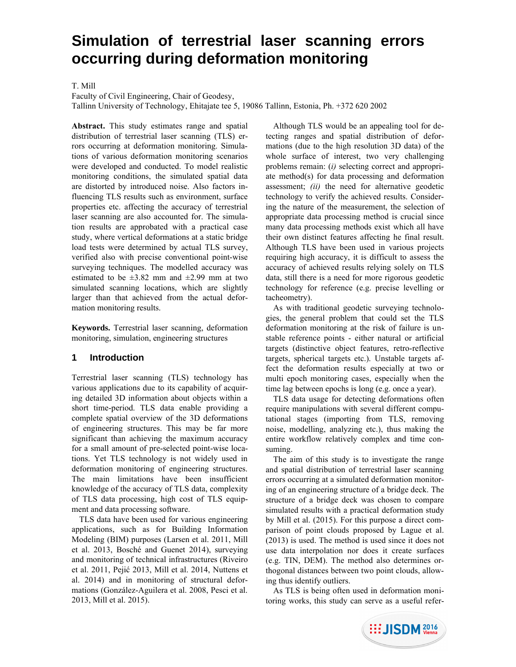# **Simulation of terrestrial laser scanning errors occurring during deformation monitoring**

# T. Mill

Faculty of Civil Engineering, Chair of Geodesy,

Tallinn University of Technology, Ehitajate tee 5, 19086 Tallinn, Estonia, Ph. +372 620 2002

**Abstract.** This study estimates range and spatial distribution of terrestrial laser scanning (TLS) errors occurring at deformation monitoring. Simulations of various deformation monitoring scenarios were developed and conducted. To model realistic monitoring conditions, the simulated spatial data are distorted by introduced noise. Also factors influencing TLS results such as environment, surface properties etc. affecting the accuracy of terrestrial laser scanning are also accounted for. The simulation results are approbated with a practical case study, where vertical deformations at a static bridge load tests were determined by actual TLS survey, verified also with precise conventional point-wise surveying techniques. The modelled accuracy was estimated to be  $\pm 3.82$  mm and  $\pm 2.99$  mm at two simulated scanning locations, which are slightly larger than that achieved from the actual deformation monitoring results.

**Keywords.** Terrestrial laser scanning, deformation monitoring, simulation, engineering structures

#### **1 Introduction**

Terrestrial laser scanning (TLS) technology has various applications due to its capability of acquiring detailed 3D information about objects within a short time-period. TLS data enable providing a complete spatial overview of the 3D deformations of engineering structures. This may be far more significant than achieving the maximum accuracy for a small amount of pre-selected point-wise locations. Yet TLS technology is not widely used in deformation monitoring of engineering structures. The main limitations have been insufficient knowledge of the accuracy of TLS data, complexity of TLS data processing, high cost of TLS equipment and data processing software.

TLS data have been used for various engineering applications, such as for Building Information Modeling (BIM) purposes (Larsen et al. 2011, Mill et al. 2013, Bosché and Guenet 2014), surveying and monitoring of technical infrastructures (Riveiro et al. 2011, Pejić 2013, Mill et al. 2014, Nuttens et al. 2014) and in monitoring of structural deformations (González-Aguilera et al. 2008, Pesci et al. 2013, Mill et al. 2015).

Although TLS would be an appealing tool for detecting ranges and spatial distribution of deformations (due to the high resolution 3D data) of the whole surface of interest, two very challenging problems remain: (*i)* selecting correct and appropriate method(s) for data processing and deformation assessment; *(ii)* the need for alternative geodetic technology to verify the achieved results. Considering the nature of the measurement, the selection of appropriate data processing method is crucial since many data processing methods exist which all have their own distinct features affecting he final result. Although TLS have been used in various projects requiring high accuracy, it is difficult to assess the accuracy of achieved results relying solely on TLS data, still there is a need for more rigorous geodetic technology for reference (e.g. precise levelling or tacheometry).

As with traditional geodetic surveying technologies, the general problem that could set the TLS deformation monitoring at the risk of failure is unstable reference points - either natural or artificial targets (distinctive object features, retro-reflective targets, spherical targets etc.). Unstable targets affect the deformation results especially at two or multi epoch monitoring cases, especially when the time lag between epochs is long (e.g. once a year).

TLS data usage for detecting deformations often require manipulations with several different computational stages (importing from TLS, removing noise, modelling, analyzing etc.), thus making the entire workflow relatively complex and time consuming.

The aim of this study is to investigate the range and spatial distribution of terrestrial laser scanning errors occurring at a simulated deformation monitoring of an engineering structure of a bridge deck. The structure of a bridge deck was chosen to compare simulated results with a practical deformation study by Mill et al. (2015). For this purpose a direct comparison of point clouds proposed by Lague et al. (2013) is used. The method is used since it does not use data interpolation nor does it create surfaces (e.g. TIN, DEM). The method also determines orthogonal distances between two point clouds, allowing thus identify outliers.

As TLS is being often used in deformation monitoring works, this study can serve as a useful refer-

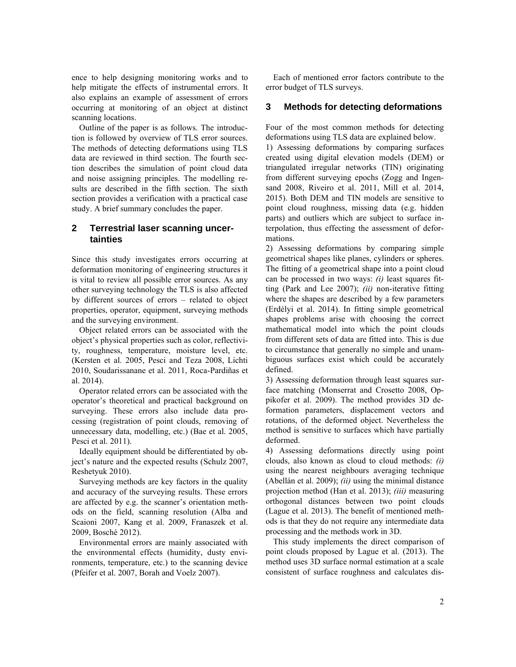ence to help designing monitoring works and to help mitigate the effects of instrumental errors. It also explains an example of assessment of errors occurring at monitoring of an object at distinct scanning locations.

Outline of the paper is as follows. The introduction is followed by overview of TLS error sources. The methods of detecting deformations using TLS data are reviewed in third section. The fourth section describes the simulation of point cloud data and noise assigning principles. The modelling results are described in the fifth section. The sixth section provides a verification with a practical case study. A brief summary concludes the paper.

# **2 Terrestrial laser scanning uncertainties**

Since this study investigates errors occurring at deformation monitoring of engineering structures it is vital to review all possible error sources. As any other surveying technology the TLS is also affected by different sources of errors – related to object properties, operator, equipment, surveying methods and the surveying environment.

Object related errors can be associated with the object's physical properties such as color, reflectivity, roughness, temperature, moisture level, etc. (Kersten et al. 2005, Pesci and Teza 2008, Lichti 2010, Soudarissanane et al. 2011, Roca-Pardiñas et al. 2014).

Operator related errors can be associated with the operator's theoretical and practical background on surveying. These errors also include data processing (registration of point clouds, removing of unnecessary data, modelling, etc.) (Bae et al. 2005, Pesci et al. 2011).

Ideally equipment should be differentiated by object's nature and the expected results (Schulz 2007, Reshetyuk 2010).

Surveying methods are key factors in the quality and accuracy of the surveying results. These errors are affected by e.g. the scanner's orientation methods on the field, scanning resolution (Alba and Scaioni 2007, Kang et al. 2009, Franaszek et al. 2009, Bosché 2012).

Environmental errors are mainly associated with the environmental effects (humidity, dusty environments, temperature, etc.) to the scanning device (Pfeifer et al. 2007, Borah and Voelz 2007).

Each of mentioned error factors contribute to the error budget of TLS surveys.

# **3 Methods for detecting deformations**

Four of the most common methods for detecting deformations using TLS data are explained below.

1) Assessing deformations by comparing surfaces created using digital elevation models (DEM) or triangulated irregular networks (TIN) originating from different surveying epochs (Zogg and Ingensand 2008, Riveiro et al. 2011, Mill et al. 2014, 2015). Both DEM and TIN models are sensitive to point cloud roughness, missing data (e.g. hidden parts) and outliers which are subject to surface interpolation, thus effecting the assessment of deformations.

2) Assessing deformations by comparing simple geometrical shapes like planes, cylinders or spheres. The fitting of a geometrical shape into a point cloud can be processed in two ways: *(i)* least squares fitting (Park and Lee 2007); *(ii)* non-iterative fitting where the shapes are described by a few parameters (Erdélyi et al. 2014). In fitting simple geometrical shapes problems arise with choosing the correct mathematical model into which the point clouds from different sets of data are fitted into. This is due to circumstance that generally no simple and unambiguous surfaces exist which could be accurately defined.

3) Assessing deformation through least squares surface matching (Monserrat and Crosetto 2008, Oppikofer et al. 2009). The method provides 3D deformation parameters, displacement vectors and rotations, of the deformed object. Nevertheless the method is sensitive to surfaces which have partially deformed.

4) Assessing deformations directly using point clouds, also known as cloud to cloud methods: *(i)* using the nearest neighbours averaging technique (Abellán et al. 2009); *(ii)* using the minimal distance projection method (Han et al. 2013); *(iii)* measuring orthogonal distances between two point clouds (Lague et al. 2013). The benefit of mentioned methods is that they do not require any intermediate data processing and the methods work in 3D.

This study implements the direct comparison of point clouds proposed by Lague et al. (2013). The method uses 3D surface normal estimation at a scale consistent of surface roughness and calculates dis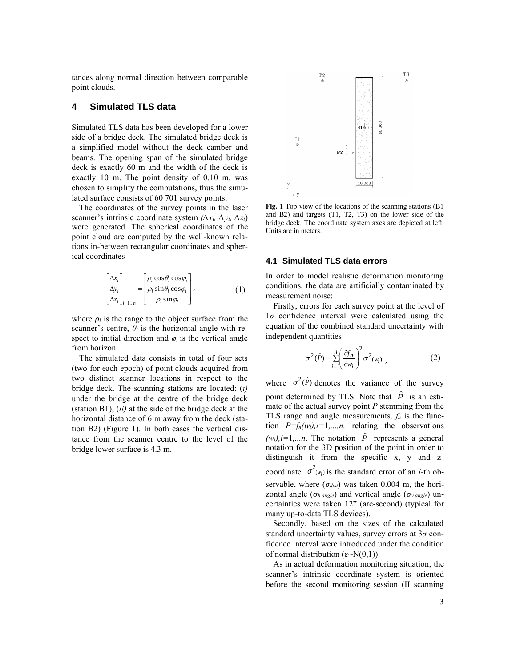tances along normal direction between comparable point clouds.

# **4 Simulated TLS data**

Simulated TLS data has been developed for a lower side of a bridge deck. The simulated bridge deck is a simplified model without the deck camber and beams. The opening span of the simulated bridge deck is exactly 60 m and the width of the deck is exactly 10 m. The point density of 0.10 m, was chosen to simplify the computations, thus the simulated surface consists of 60 701 survey points.

The coordinates of the survey points in the laser scanner's intrinsic coordinate system *(∆xi, ∆yi, ∆zi*) were generated. The spherical coordinates of the point cloud are computed by the well-known relations in-between rectangular coordinates and spherical coordinates

$$
\begin{bmatrix}\n\Delta x_i \\
\Delta y_i \\
\Delta z_i\n\end{bmatrix}_{i=1..n} = \begin{bmatrix}\n\rho_i \cos \theta_i \cos \varphi_i \\
\rho_i \sin \theta_i \cos \varphi_i \\
\rho_i \sin \varphi_i\n\end{bmatrix},
$$
\n(1)

where  $\rho_i$  is the range to the object surface from the scanner's centre,  $\theta_i$  is the horizontal angle with respect to initial direction and  $\varphi_i$  is the vertical angle from horizon.

The simulated data consists in total of four sets (two for each epoch) of point clouds acquired from two distinct scanner locations in respect to the bridge deck. The scanning stations are located: (*i)*  under the bridge at the centre of the bridge deck (station B1); (*ii)* at the side of the bridge deck at the horizontal distance of 6 m away from the deck (station B2) (Figure 1). In both cases the vertical distance from the scanner centre to the level of the bridge lower surface is 4.3 m.



**Fig. 1** Top view of the locations of the scanning stations (B1 and B2) and targets (T1, T2, T3) on the lower side of the bridge deck. The coordinate system axes are depicted at left. Units are in meters.

#### **4.1 Simulated TLS data errors**

In order to model realistic deformation monitoring conditions, the data are artificially contaminated by measurement noise:

Firstly, errors for each survey point at the level of 1*σ* confidence interval were calculated using the equation of the combined standard uncertainty with independent quantities:

$$
\sigma^2(\hat{P}) = \sum_{i=1}^n \left(\frac{\partial f_n}{\partial w_i}\right)^2 \sigma^2(w_i) \tag{2}
$$

where  $\sigma^2(\hat{P})$  denotes the variance of the survey point determined by TLS. Note that  $\hat{P}$  is an estimate of the actual survey point *P* stemming from the TLS range and angle measurements,  $f_n$  is the function  $P=f_n(w_i)$ , *i*=1,...,*n*, relating the observations  $(w_i)$ ,*i*=1,...*n*. The notation  $\hat{P}$  represents a general notation for the 3D position of the point in order to distinguish it from the specific x, y and zcoordinate.  $\sigma^2(w_i)$  is the standard error of an *i*-th observable, where (*σdist*) was taken 0.004 m, the horizontal angle (*σh.angle*) and vertical angle (*σv.angle*) uncertainties were taken 12" (arc-second) (typical for many up-to-data TLS devices).

Secondly, based on the sizes of the calculated standard uncertainty values, survey errors at 3*σ* confidence interval were introduced under the condition of normal distribution (ε~N(0,1)).

As in actual deformation monitoring situation, the scanner's intrinsic coordinate system is oriented before the second monitoring session (II scanning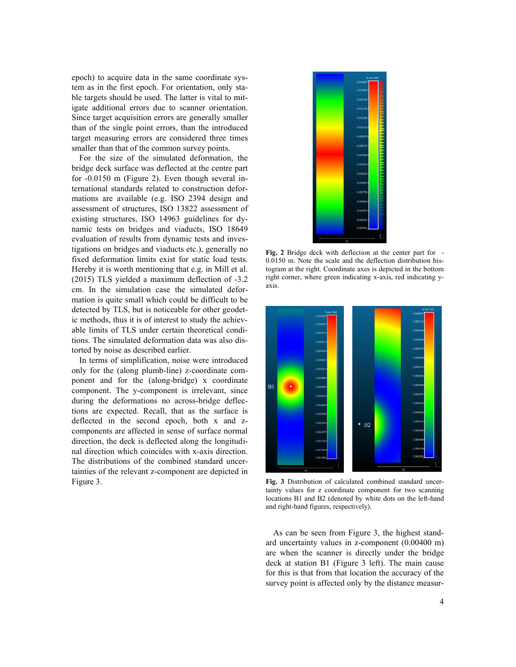epoch) to acquire data in the same coordinate system as in the first epoch. For orientation, only stable targets should be used. The latter is vital to mitigate additional errors due to scanner orientation. Since target acquisition errors are generally smaller than of the single point errors, than the introduced target measuring errors are considered three times smaller than that of the common survey points.

For the size of the simulated deformation, the bridge deck surface was deflected at the centre part for -0.0150 m (Figure 2). Even though several international standards related to construction deformations are available (e.g. ISO 2394 design and assessment of structures, ISO 13822 assessment of existing structures, ISO 14963 guidelines for dynamic tests on bridges and viaducts, ISO 18649 evaluation of results from dynamic tests and investigations on bridges and viaducts etc.), generally no fixed deformation limits exist for static load tests. Hereby it is worth mentioning that e.g. in Mill et al. (2015) TLS yielded a maximum deflection of -3.2 cm. In the simulation case the simulated deformation is quite small which could be difficult to be detected by TLS, but is noticeable for other geodetic methods, thus it is of interest to study the achievable limits of TLS under certain theoretical conditions. The simulated deformation data was also distorted by noise as described earlier.

In terms of simplification, noise were introduced only for the (along plumb-line) z-coordinate component and for the (along-bridge) x coordinate component. The y-component is irrelevant, since during the deformations no across-bridge deflections are expected. Recall, that as the surface is deflected in the second epoch, both x and zcomponents are affected in sense of surface normal direction, the deck is deflected along the longitudinal direction which coincides with x-axis direction. The distributions of the combined standard uncertainties of the relevant z-component are depicted in Figure 3.



**Fig. 2** Bridge deck with deflection at the center part for - 0.0150 m. Note the scale and the deflection distribution histogram at the right. Coordinate axes is depicted in the bottom right corner, where green indicating x-axis, red indicating yaxis.



**Fig. 3** Distribution of calculated combined standard uncertainty values for z coordinate component for two scanning locations B1 and B2 (denoted by white dots on the left-hand and right-hand figures, respectively).

As can be seen from Figure 3, the highest standard uncertainty values in z-component (0.00400 m) are when the scanner is directly under the bridge deck at station B1 (Figure 3 left). The main cause for this is that from that location the accuracy of the survey point is affected only by the distance measur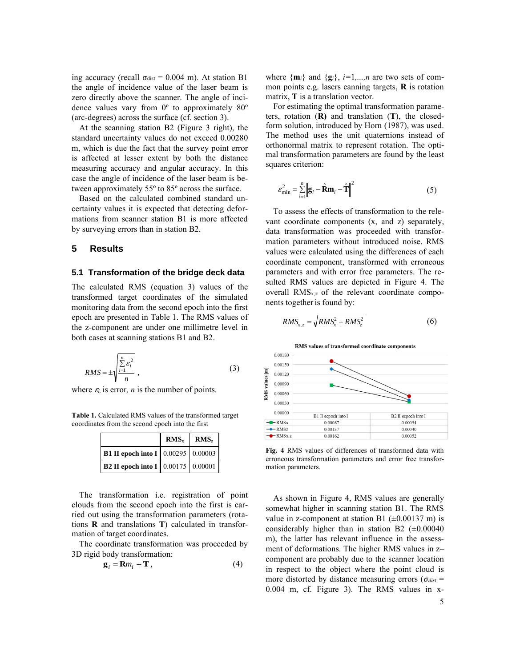ing accuracy (recall  $\sigma_{dist} = 0.004$  m). At station B1 the angle of incidence value of the laser beam is zero directly above the scanner. The angle of incidence values vary from 0º to approximately 80º (arc-degrees) across the surface (cf. section 3).

At the scanning station B2 (Figure 3 right), the standard uncertainty values do not exceed 0.00280 m, which is due the fact that the survey point error is affected at lesser extent by both the distance measuring accuracy and angular accuracy. In this case the angle of incidence of the laser beam is between approximately 55º to 85º across the surface.

Based on the calculated combined standard uncertainty values it is expected that detecting deformations from scanner station B1 is more affected by surveying errors than in station B2.

#### **5 Results**

#### **5.1 Transformation of the bridge deck data**

The calculated RMS (equation 3) values of the transformed target coordinates of the simulated monitoring data from the second epoch into the first epoch are presented in Table 1. The RMS values of the z-component are under one millimetre level in both cases at scanning stations B1 and B2.

$$
RMS = \pm \sqrt{\frac{\sum_{i=1}^{n} \varepsilon_i^2}{n}} \,, \tag{3}
$$

where  $\varepsilon$ *i*, is error, *n* is the number of points.

**Table 1.** Calculated RMS values of the transformed target coordinates from the second epoch into the first

|                                           | $RMS_x$   $RMS_z$ |  |
|-------------------------------------------|-------------------|--|
| <b>B1 II epoch into I</b> 0.00295 0.00003 |                   |  |
| <b>B2 II epoch into I</b> 0.00175 0.00001 |                   |  |

The transformation i.e. registration of point clouds from the second epoch into the first is carried out using the transformation parameters (rotations **R** and translations **T**) calculated in transformation of target coordinates.

The coordinate transformation was proceeded by 3D rigid body transformation:

$$
\mathbf{g}_i = \mathbf{R} m_i + \mathbf{T},\tag{4}
$$

where  $\{\mathbf{m}_i\}$  and  $\{\mathbf{g}_i\}$ ,  $i=1,...,n$  are two sets of common points e.g. lasers canning targets, **R** is rotation matrix, **T** is a translation vector.

For estimating the optimal transformation parameters, rotation (**R)** and translation (**T**), the closedform solution, introduced by Horn (1987), was used. The method uses the unit quaternions instead of orthonormal matrix to represent rotation. The optimal transformation parameters are found by the least squares criterion:

$$
\varepsilon_{\min}^2 = \sum_{i=1}^n \left\| \mathbf{g}_i - \hat{\mathbf{R}} \mathbf{m}_i - \hat{\mathbf{T}} \right\|^2 \tag{5}
$$

To assess the effects of transformation to the relevant coordinate components (x, and z) separately, data transformation was proceeded with transformation parameters without introduced noise. RMS values were calculated using the differences of each coordinate component, transformed with erroneous parameters and with error free parameters. The resulted RMS values are depicted in Figure 4. The overall RMSx,z of the relevant coordinate components together is found by:

$$
RMS_{x,z} = \sqrt{RMS_x^2 + RMS_z^2}
$$
 (6)



**Fig. 4** RMS values of differences of transformed data with erroneous transformation parameters and error free transformation parameters.

As shown in Figure 4, RMS values are generally somewhat higher in scanning station B1. The RMS value in z-component at station B1  $(\pm 0.00137 \text{ m})$  is considerably higher than in station B2  $(\pm 0.00040)$ m), the latter has relevant influence in the assessment of deformations. The higher RMS values in z– component are probably due to the scanner location in respect to the object where the point cloud is more distorted by distance measuring errors ( $\sigma_{dist}$  = 0.004 m, cf. Figure 3). The RMS values in x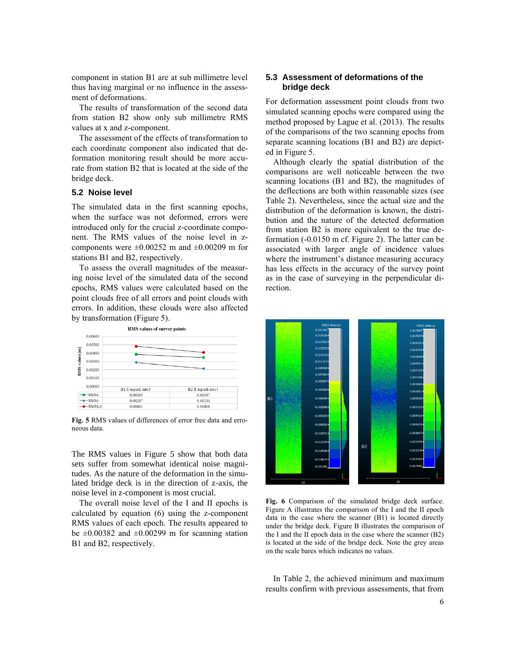component in station B1 are at sub millimetre level thus having marginal or no influence in the assessment of deformations.

The results of transformation of the second data from station B2 show only sub millimetre RMS values at x and z-component.

The assessment of the effects of transformation to each coordinate component also indicated that deformation monitoring result should be more accurate from station B2 that is located at the side of the bridge deck.

## **5.2 Noise level**

The simulated data in the first scanning epochs, when the surface was not deformed, errors were introduced only for the crucial z-coordinate component. The RMS values of the noise level in zcomponents were  $\pm 0.00252$  m and  $\pm 0.00209$  m for stations B1 and B2, respectively.

To assess the overall magnitudes of the measuring noise level of the simulated data of the second epochs, RMS values were calculated based on the point clouds free of all errors and point clouds with errors. In addition, these clouds were also affected by transformation (Figure 5).



**Fig. 5** RMS values of differences of error free data and erroneous data.

The RMS values in Figure 5 show that both data sets suffer from somewhat identical noise magnitudes. As the nature of the deformation in the simulated bridge deck is in the direction of z-axis, the noise level in z-component is most crucial.

The overall noise level of the I and II epochs is calculated by equation (6) using the z-component RMS values of each epoch. The results appeared to be  $\pm 0.00382$  and  $\pm 0.00299$  m for scanning station B1 and B2, respectively.

## **5.3 Assessment of deformations of the bridge deck**

For deformation assessment point clouds from two simulated scanning epochs were compared using the method proposed by Lague et al. (2013). The results of the comparisons of the two scanning epochs from separate scanning locations (B1 and B2) are depicted in Figure 5.

Although clearly the spatial distribution of the comparisons are well noticeable between the two scanning locations (B1 and B2), the magnitudes of the deflections are both within reasonable sizes (see Table 2). Nevertheless, since the actual size and the distribution of the deformation is known, the distribution and the nature of the detected deformation from station B2 is more equivalent to the true deformation (-0.0150 m cf. Figure 2). The latter can be associated with larger angle of incidence values where the instrument's distance measuring accuracy has less effects in the accuracy of the survey point as in the case of surveying in the perpendicular direction.



**Fig. 6** Comparison of the simulated bridge deck surface. Figure A illustrates the comparison of the I and the II epoch data in the case where the scanner (B1) is located directly under the bridge deck. Figure B illustrates the comparison of the I and the II epoch data in the case where the scanner (B2) is located at the side of the bridge deck. Note the grey areas on the scale bares which indicates no values.

In Table 2, the achieved minimum and maximum results confirm with previous assessments, that from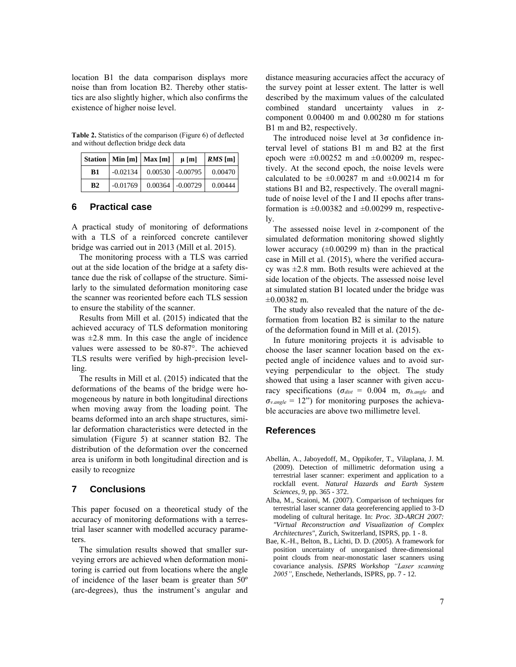location B1 the data comparison displays more noise than from location B2. Thereby other statistics are also slightly higher, which also confirms the existence of higher noise level.

**Table 2.** Statistics of the comparison (Figure 6) of deflected and without deflection bridge deck data

|    | Station   Min [m]   Max [m] | $\mu$ [m]          | $RMS$ [m] |
|----|-----------------------------|--------------------|-----------|
| B1 | $-0.02134$                  | $0.00530$ -0.00795 | 0.00470   |
| B2 | $-0.01769$                  | $0.00364$ -0.00729 | 0.00444   |

## **6 Practical case**

A practical study of monitoring of deformations with a TLS of a reinforced concrete cantilever bridge was carried out in 2013 (Mill et al. 2015).

The monitoring process with a TLS was carried out at the side location of the bridge at a safety distance due the risk of collapse of the structure. Similarly to the simulated deformation monitoring case the scanner was reoriented before each TLS session to ensure the stability of the scanner.

Results from Mill et al. (2015) indicated that the achieved accuracy of TLS deformation monitoring was  $\pm 2.8$  mm. In this case the angle of incidence values were assessed to be 80-87°. The achieved TLS results were verified by high-precision levelling.

The results in Mill et al. (2015) indicated that the deformations of the beams of the bridge were homogeneous by nature in both longitudinal directions when moving away from the loading point. The beams deformed into an arch shape structures, similar deformation characteristics were detected in the simulation (Figure 5) at scanner station B2. The distribution of the deformation over the concerned area is uniform in both longitudinal direction and is easily to recognize

## **7 Conclusions**

This paper focused on a theoretical study of the accuracy of monitoring deformations with a terrestrial laser scanner with modelled accuracy parameters.

The simulation results showed that smaller surveying errors are achieved when deformation monitoring is carried out from locations where the angle of incidence of the laser beam is greater than 50º (arc-degrees), thus the instrument's angular and

distance measuring accuracies affect the accuracy of the survey point at lesser extent. The latter is well described by the maximum values of the calculated combined standard uncertainty values in zcomponent 0.00400 m and 0.00280 m for stations B1 m and B2, respectively.

The introduced noise level at 3σ confidence interval level of stations B1 m and B2 at the first epoch were  $\pm 0.00252$  m and  $\pm 0.00209$  m, respectively. At the second epoch, the noise levels were calculated to be  $\pm 0.00287$  m and  $\pm 0.00214$  m for stations B1 and B2, respectively. The overall magnitude of noise level of the I and II epochs after transformation is  $\pm 0.00382$  and  $\pm 0.00299$  m, respectively.

The assessed noise level in z-component of the simulated deformation monitoring showed slightly lower accuracy  $(\pm 0.00299 \text{ m})$  than in the practical case in Mill et al. (2015), where the verified accuracy was ±2.8 mm. Both results were achieved at the side location of the objects. The assessed noise level at simulated station B1 located under the bridge was  $\pm 0.00382$  m.

The study also revealed that the nature of the deformation from location B2 is similar to the nature of the deformation found in Mill et al. (2015).

In future monitoring projects it is advisable to choose the laser scanner location based on the expected angle of incidence values and to avoid surveying perpendicular to the object. The study showed that using a laser scanner with given accuracy specifications ( $σ<sub>dist</sub> = 0.004$  m,  $σ<sub>h.angle</sub>$  and  $\sigma_{v.angle} = 12$ ") for monitoring purposes the achievable accuracies are above two millimetre level.

#### **References**

- Abellán, A., Jaboyedoff, M., Oppikofer, T., Vilaplana, J. M. (2009). Detection of millimetric deformation using a terrestrial laser scanner: experiment and application to a rockfall event. *Natural Hazards and Earth System Sciences, 9*, pp. 365 - 372.
- Alba, M., Scaioni, M. (2007). Comparison of techniques for terrestrial laser scanner data georeferencing applied to 3-D modeling of cultural heritage. In: *Proc. 3D-ARCH 2007: "Virtual Reconstruction and Visualization of Complex Architectures"*, Zurich, Switzerland, ISPRS, pp. 1 - 8.
- Bae, K.-H., Belton, B., Lichti, D. D. (2005). A framework for position uncertainty of unorganised three-dimensional point clouds from near-monostatic laser scanners using covariance analysis. *ISPRS Workshop "Laser scanning 2005"*, Enschede, Netherlands, ISPRS, pp. 7 - 12.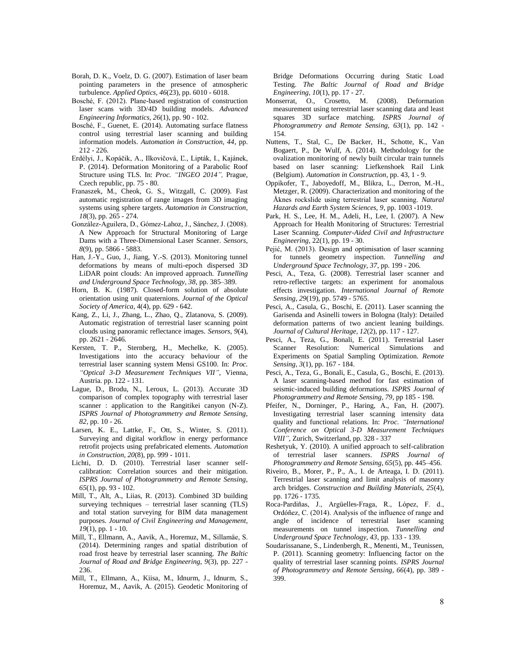- Borah, D. K., Voelz, D. G. (2007). Estimation of laser beam pointing parameters in the presence of atmospheric turbulence. *Applied Optics, 46*(23), pp. 6010 - 6018.
- Bosché, F. (2012). Plane-based registration of construction laser scans with 3D/4D building models. *Advanced Engineering Informatics, 26*(1), pp. 90 - 102.
- Bosché, F., Guenet, E. (2014). Automating surface flatness control using terrestrial laser scanning and building information models. *Automation in Construction, 44*, pp. 212 - 226.
- Erdélyi, J., Kopáčik, A., Ilkovičová, Ľ., Lipták, I., Kajánek, P. (2014). Deformation Monitoring of a Parabolic Roof Structure using TLS. In: *Proc. "INGEO 2014",* Prague, Czech republic, pp. 75 - 80.
- Franaszek, M., Cheok, G. S., Witzgall, C. (2009). Fast automatic registration of range images from 3D imaging systems using sphere targets. *Automation in Construction, 18*(3), pp. 265 - 274.
- González-Aguilera, D., Gómez-Lahoz, J., Sánchez, J. (2008). A New Approach for Structural Monitoring of Large Dams with a Three-Dimensional Laser Scanner. *Sensors, 8*(9), pp. 5866 - 5883.
- Han, J.-Y., Guo, J., Jiang, Y.-S. (2013). Monitoring tunnel deformations by means of multi-epoch dispersed 3D LiDAR point clouds: An improved approach. *Tunnelling and Underground Space Technology, 38*, pp. 385–389.
- Horn, B. K. (1987). Closed-form solution of absolute orientation using unit quaternions. *Journal of the Optical Society of America*, 4(4), pp. 629 - 642.
- Kang, Z., Li, J., Zhang, L., Zhao, Q., Zlatanova, S. (2009). Automatic registration of terrestrial laser scanning point clouds using panoramic reflectance images. *Sensors, 9*(4), pp. 2621 - 2646.
- Kersten, T. P., Sternberg, H., Mechelke, K. (2005). Investigations into the accuracy behaviour of the terrestrial laser scanning system Mensi GS100. In: *Proc. "Optical 3-D Measurement Techniques VII"*, Vienna, Austria. pp. 122 - 131.
- Lague, D., Brodu, N., Leroux, L. (2013). Accurate 3D comparison of complex topography with terrestrial laser scanner : application to the Rangitikei canyon (N-Z). *ISPRS Journal of Photogrammetry and Remote Sensing, 82*, pp. 10 - 26.
- Larsen, K. E., Lattke, F., Ott, S., Winter, S. (2011). Surveying and digital workflow in energy performance retrofit projects using prefabricated elements. *Automation in Construction, 20*(8), pp. 999 - 1011.
- Lichti, D. D. (2010). Terrestrial laser scanner selfcalibration: Correlation sources and their mitigation. *ISPRS Journal of Photogrammetry and Remote Sensing, 65*(1), pp. 93 - 102.
- Mill, T., Alt, A., Liias, R. (2013). Combined 3D building surveying techniques – terrestrial laser scanning (TLS) and total station surveying for BIM data management purposes. *Journal of Civil Engineering and Management, 19*(1), pp. 1 - 10.
- Mill, T., Ellmann, A., Aavik, A., Horemuz, M., Sillamäe, S. (2014). Determining ranges and spatial distribution of road frost heave by terrestrial laser scanning. *The Baltic Journal of Road and Bridge Engineering, 9*(3), pp. 227 - 236.
- Mill, T., Ellmann, A., Kiisa, M., Idnurm, J., Idnurm, S., Horemuz, M., Aavik, A. (2015). Geodetic Monitoring of

Bridge Deformations Occurring during Static Load Testing. *The Baltic Journal of Road and Bridge Engineering, 10*(1), pp. 17 - 27.

- Monserrat, O., Crosetto, M. (2008). Deformation measurement using terrestrial laser scanning data and least squares 3D surface matching. *ISPRS Journal of Photogrammetry and Remote Sensing, 63*(1), pp. 142 - 154.
- Nuttens, T., Stal, C., De Backer, H., Schotte, K., Van Bogaert, P., De Wulf, A. (2014). Methodology for the ovalization monitoring of newly built circular train tunnels based on laser scanning: Liefkenshoek Rail Link (Belgium). *Automation in Construction*, pp. 43, 1 - 9.
- Oppikofer, T., Jaboyedoff, M., Blikra, L., Derron, M.-H., Metzger, R. (2009). Characterization and monitoring of the Åknes rockslide using terrestrial laser scanning. *Natural Hazards and Earth System Sciences, 9*, pp. 1003 -1019.
- Park, H. S., Lee, H. M., Adeli, H., Lee, I. (2007). A New Approach for Health Monitoring of Structures: Terrestrial Laser Scanning. *Computer-Aided Civil and Infrastructure Engineering*, 22(1), pp. 19 - 30.
- Pejić, M. (2013). Design and optimisation of laser scanning for tunnels geometry inspection. *Tunnelling and Underground Space Technology, 37*, pp. 199 - 206.
- Pesci, A., Teza, G. (2008). Terrestrial laser scanner and retro-reflective targets: an experiment for anomalous effects investigation. *International Journal of Remote Sensing, 29*(19), pp. 5749 - 5765.
- Pesci, A., Casula, G., Boschi, E. (2011). Laser scanning the Garisenda and Asinelli towers in Bologna (Italy): Detailed deformation patterns of two ancient leaning buildings. *Journal of Cultural Heritage, 12*(2), pp. 117 - 127.
- Pesci, A., Teza, G., Bonali, E. (2011). Terrestrial Laser Scanner Resolution: Numerical Simulations and Experiments on Spatial Sampling Optimization. *Remote Sensing, 3*(1), pp. 167 - 184.
- Pesci, A., Teza, G., Bonali, E., Casula, G., Boschi, E. (2013). A laser scanning-based method for fast estimation of seismic-induced building deformations. *ISPRS Journal of Photogrammetry and Remote Sensing, 79*, pp 185 - 198.
- Pfeifer, N., Dorninger, P., Haring, A., Fan, H. (2007). Investigating terrestrial laser scanning intensity data quality and functional relations. In: *Proc. "International Conference on Optical 3-D Measurement Techniques VIII"*, Zurich, Switzerland, pp. 328 - 337
- Reshetyuk, Y. (2010). A unified approach to self-calibration of terrestrial laser scanners. *ISPRS Journal of Photogrammetry and Remote Sensing, 65*(5), pp. 445–456.
- Riveiro, B., Morer, P., P., A., I. de Arteaga, I. D. (2011). Terrestrial laser scanning and limit analysis of masonry arch bridges. *Construction and Building Materials, 25*(4), pp. 1726 - 1735.
- Roca-Pardiñas, J., Argüelles-Fraga, R., López, F. d., Ordóñez, C. (2014). Analysis of the influence of range and angle of incidence of terrestrial laser scanning measurements on tunnel inspection. *Tunnelling and Underground Space Technology, 43*, pp. 133 - 139.
- Soudarissanane, S., Lindenbergh, R., Menenti, M., Teunissen, P. (2011). Scanning geometry: Influencing factor on the quality of terrestrial laser scanning points. *ISPRS Journal of Photogrammetry and Remote Sensing, 66*(4), pp. 389 - 399.